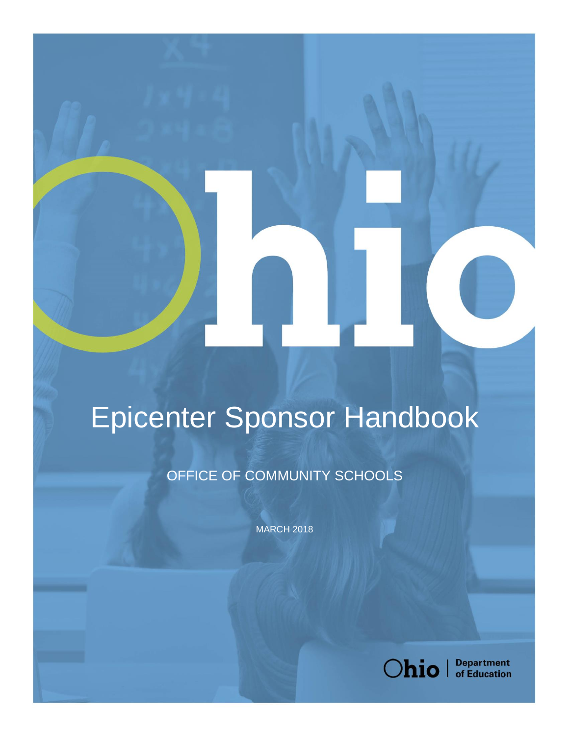# Epicenter Sponsor Handbook

OFFICE OF COMMUNITY SCHOOLS

**MARCH 2018** 



**Department**<br>of Education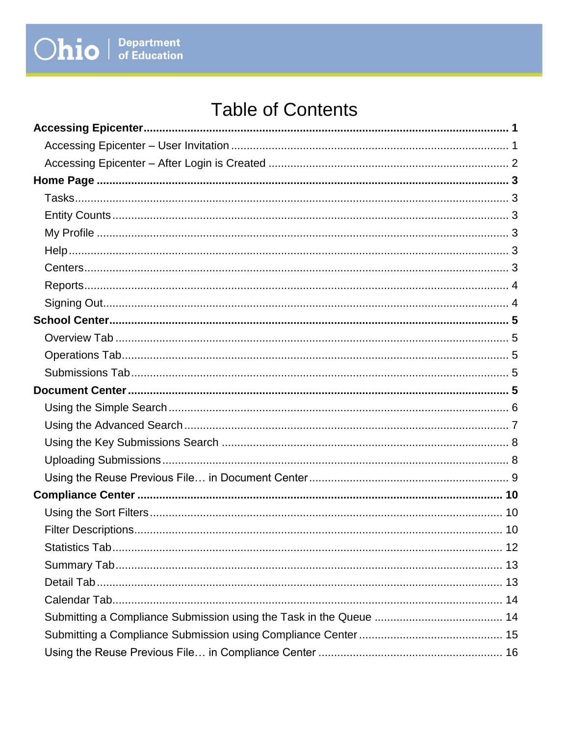## **Table of Contents**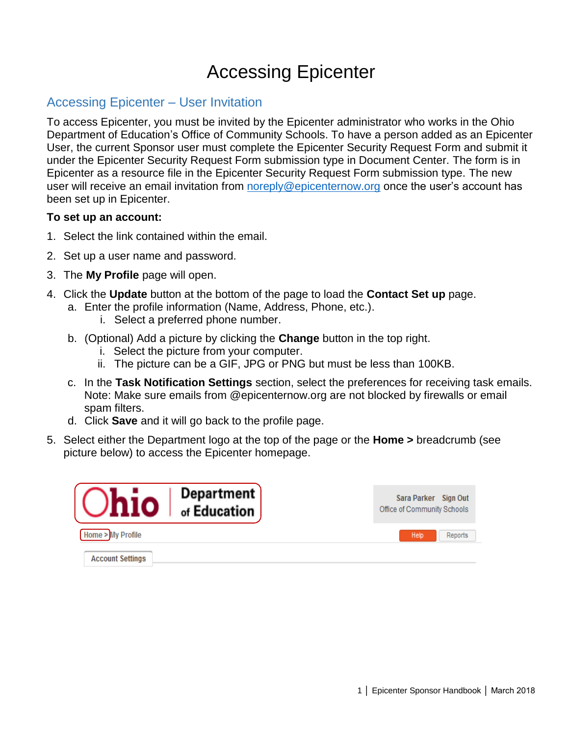### Accessing Epicenter

#### <span id="page-2-1"></span><span id="page-2-0"></span>Accessing Epicenter – User Invitation

To access Epicenter, you must be invited by the Epicenter administrator who works in the Ohio Department of Education's Office of Community Schools. To have a person added as an Epicenter User, the current Sponsor user must complete the Epicenter Security Request Form and submit it under the Epicenter Security Request Form submission type in Document Center. The form is in Epicenter as a resource file in the Epicenter Security Request Form submission type. The new user will receive an email invitation from [noreply@epicenternow.org](mailto:noreply@epicenternow.org) once the user's account has been set up in Epicenter.

#### **To set up an account:**

- 1. Select the link contained within the email.
- 2. Set up a user name and password.
- 3. The **My Profile** page will open.
- 4. Click the **Update** button at the bottom of the page to load the **Contact Set up** page.
	- a. Enter the profile information (Name, Address, Phone, etc.).
		- i. Select a preferred phone number.
	- b. (Optional) Add a picture by clicking the **Change** button in the top right.
		- i. Select the picture from your computer.
		- ii. The picture can be a GIF, JPG or PNG but must be less than 100KB.
	- c. In the **Task Notification Settings** section, select the preferences for receiving task emails. Note: Make sure emails from @epicenternow.org are not blocked by firewalls or email spam filters.
	- d. Click **Save** and it will go back to the profile page.
- 5. Select either the Department logo at the top of the page or the **Home >** breadcrumb (see picture below) to access the Epicenter homepage.

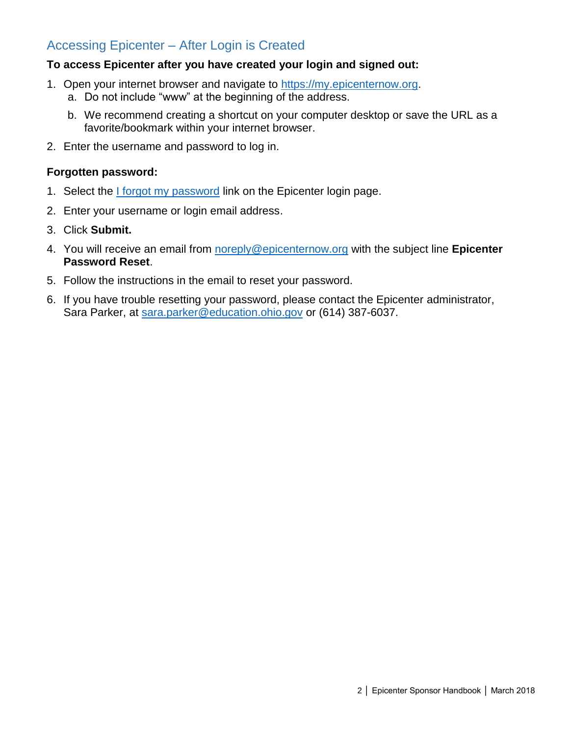#### <span id="page-3-0"></span>Accessing Epicenter – After Login is Created

#### **To access Epicenter after you have created your login and signed out:**

- 1. Open your internet browser and navigate to [https://my.epicenternow.org.](https://my.epicenternow.org/)
	- a. Do not include "www" at the beginning of the address.
	- b. We recommend creating a shortcut on your computer desktop or save the URL as a favorite/bookmark within your internet browser.
- 2. Enter the username and password to log in.

#### **Forgotten password:**

- 1. Select the I forgot my password link on the Epicenter login page.
- 2. Enter your username or login email address.
- 3. Click **Submit.**
- 4. You will receive an email from [noreply@epicenternow.org](mailto:noreply@epicenternow.org) with the subject line **Epicenter Password Reset**.
- 5. Follow the instructions in the email to reset your password.
- <span id="page-3-1"></span>6. If you have trouble resetting your password, please contact the Epicenter administrator, Sara Parker, at [sara.parker@education.ohio.gov](mailto:sara.parker@education.ohio.gov) or (614) 387-6037.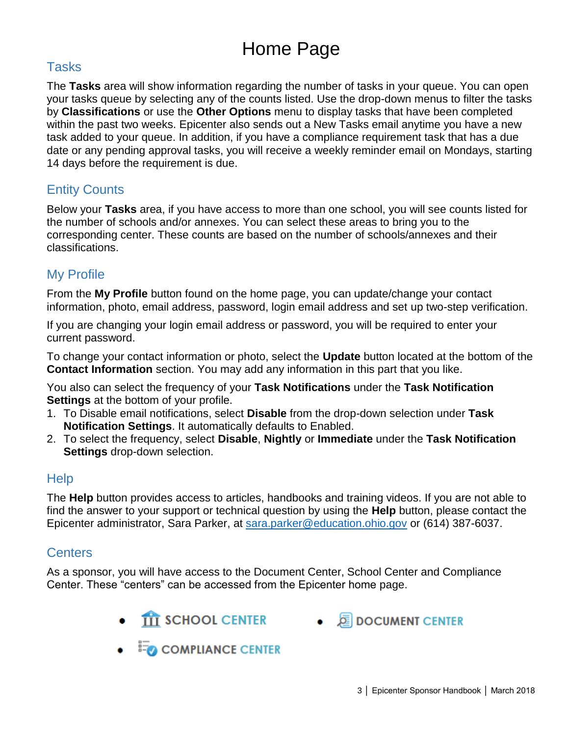## Home Page

#### <span id="page-4-0"></span>Tasks

The **Tasks** area will show information regarding the number of tasks in your queue. You can open your tasks queue by selecting any of the counts listed. Use the drop-down menus to filter the tasks by **Classifications** or use the **Other Options** menu to display tasks that have been completed within the past two weeks. Epicenter also sends out a New Tasks email anytime you have a new task added to your queue. In addition, if you have a compliance requirement task that has a due date or any pending approval tasks, you will receive a weekly reminder email on Mondays, starting 14 days before the requirement is due.

#### <span id="page-4-1"></span>Entity Counts

Below your **Tasks** area, if you have access to more than one school, you will see counts listed for the number of schools and/or annexes. You can select these areas to bring you to the corresponding center. These counts are based on the number of schools/annexes and their classifications.

#### <span id="page-4-2"></span>My Profile

From the **My Profile** button found on the home page, you can update/change your contact information, photo, email address, password, login email address and set up two-step verification.

If you are changing your login email address or password, you will be required to enter your current password.

To change your contact information or photo, select the **Update** button located at the bottom of the **Contact Information** section. You may add any information in this part that you like.

You also can select the frequency of your **Task Notifications** under the **Task Notification Settings** at the bottom of your profile.

- 1. To Disable email notifications, select **Disable** from the drop-down selection under **Task Notification Settings**. It automatically defaults to Enabled.
- 2. To select the frequency, select **Disable**, **Nightly** or **Immediate** under the **Task Notification Settings** drop-down selection.

#### <span id="page-4-3"></span>**Help**

The **Help** button provides access to articles, handbooks and training videos. If you are not able to find the answer to your support or technical question by using the **Help** button, please contact the Epicenter administrator, Sara Parker, at [sara.parker@education.ohio.gov](mailto:sara.parker@education.ohio.gov) or (614) 387-6037.

#### <span id="page-4-4"></span>**Centers**

As a sponsor, you will have access to the Document Center, School Center and Compliance Center. These "centers" can be accessed from the Epicenter home page.

- **THE SCHOOL CENTER**
- EDOCUMENT CENTER
- $\bullet$   $\overline{=}$  COMPLIANCE CENTER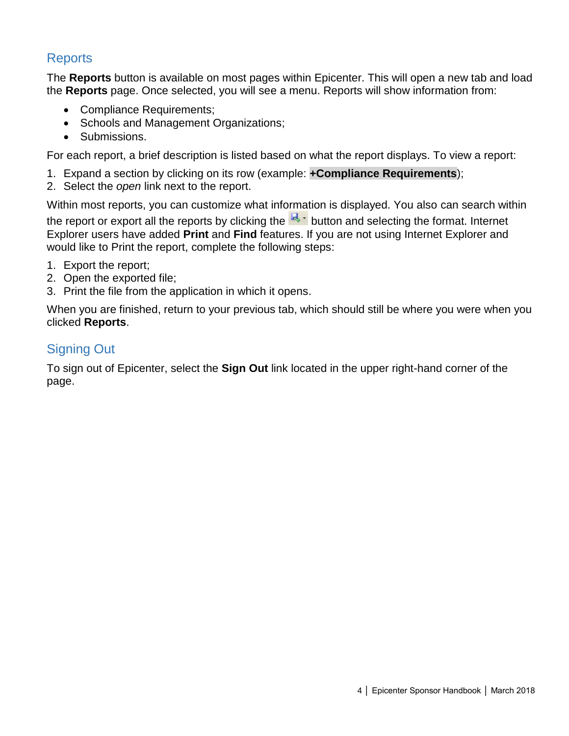#### <span id="page-5-0"></span>**Reports**

The **Reports** button is available on most pages within Epicenter. This will open a new tab and load the **Reports** page. Once selected, you will see a menu. Reports will show information from:

- Compliance Requirements;
- Schools and Management Organizations;
- Submissions.

For each report, a brief description is listed based on what the report displays. To view a report:

- 1. Expand a section by clicking on its row (example: **+Compliance Requirements**);
- 2. Select the *open* link next to the report.

Within most reports, you can customize what information is displayed. You also can search within

the report or export all the reports by clicking the  $\mathbb{R}^+$  button and selecting the format. Internet Explorer users have added **Print** and **Find** features. If you are not using Internet Explorer and would like to Print the report, complete the following steps:

- 1. Export the report;
- 2. Open the exported file;
- 3. Print the file from the application in which it opens.

When you are finished, return to your previous tab, which should still be where you were when you clicked **Reports**.

#### <span id="page-5-1"></span>Signing Out

To sign out of Epicenter, select the **Sign Out** link located in the upper right-hand corner of the page.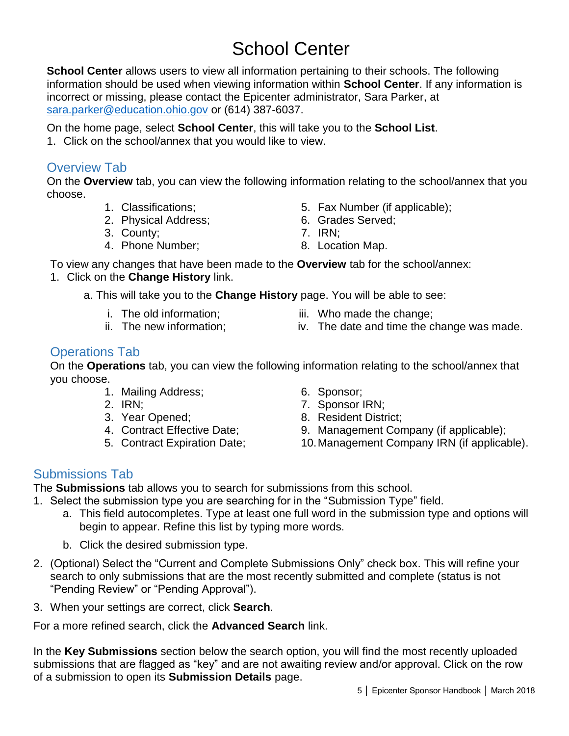### School Center

<span id="page-6-0"></span>**School Center** allows users to view all information pertaining to their schools. The following information should be used when viewing information within **School Center**. If any information is incorrect or missing, please contact the Epicenter administrator, Sara Parker, at [sara.parker@education.ohio.gov](mailto:sara.parker@education.ohio.gov) or (614) 387-6037.

On the home page, select **School Center**, this will take you to the **School List**.

1. Click on the school/annex that you would like to view.

#### <span id="page-6-1"></span>Overview Tab

On the **Overview** tab, you can view the following information relating to the school/annex that you choose.

- 1. Classifications;
- 2. Physical Address;
- 3. County;
- 4. Phone Number;
- 5. Fax Number (if applicable);
- 6. Grades Served;
- 7. IRN;
- 8. Location Map.

To view any changes that have been made to the **Overview** tab for the school/annex: 1. Click on the **Change History** link.

a. This will take you to the **Change History** page. You will be able to see:

- i. The old information;
- ii. The new information;
- iii. Who made the change;
- iv. The date and time the change was made.

#### <span id="page-6-2"></span>Operations Tab

On the **Operations** tab, you can view the following information relating to the school/annex that you choose.

- 1. Mailing Address;
- 2. IRN;
- 3. Year Opened;
- 4. Contract Effective Date;
- 5. Contract Expiration Date;
- 6. Sponsor;
- 7. Sponsor IRN;
- 8. Resident District;
- 9. Management Company (if applicable);
- <span id="page-6-4"></span>10.Management Company IRN (if applicable).

#### <span id="page-6-3"></span>Submissions Tab

The **Submissions** tab allows you to search for submissions from this school.

- 1. Select the submission type you are searching for in the "Submission Type" field.
	- a. This field autocompletes. Type at least one full word in the submission type and options will begin to appear. Refine this list by typing more words.
		- b. Click the desired submission type.
- 2. (Optional) Select the "Current and Complete Submissions Only" check box. This will refine your search to only submissions that are the most recently submitted and complete (status is not "Pending Review" or "Pending Approval").
- 3. When your settings are correct, click **Search**.

For a more refined search, click the **Advanced Search** link.

In the **Key Submissions** section below the search option, you will find the most recently uploaded submissions that are flagged as "key" and are not awaiting review and/or approval. Click on the row of a submission to open its **Submission Details** page.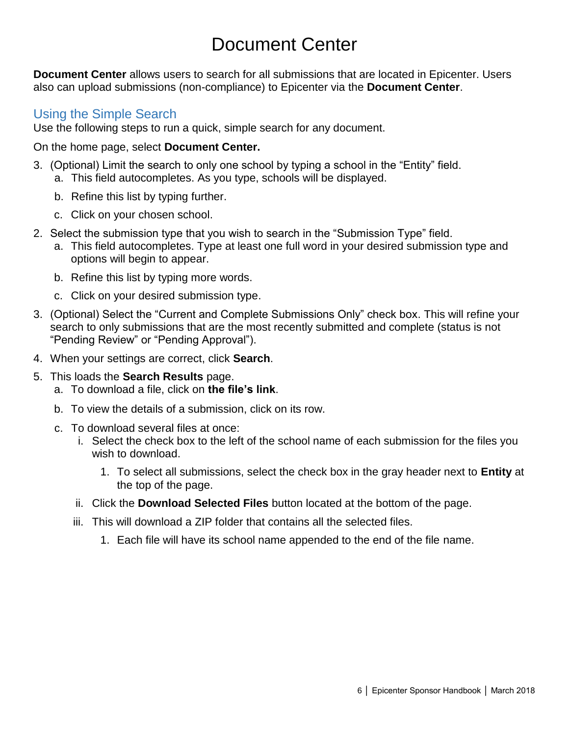### Document Center

**Document Center** allows users to search for all submissions that are located in Epicenter. Users also can upload submissions (non-compliance) to Epicenter via the **Document Center**.

#### <span id="page-7-0"></span>Using the Simple Search

Use the following steps to run a quick, simple search for any document.

#### On the home page, select **Document Center.**

- 3. (Optional) Limit the search to only one school by typing a school in the "Entity" field. a. This field autocompletes. As you type, schools will be displayed.
	- b. Refine this list by typing further.
	- c. Click on your chosen school.
- 2. Select the submission type that you wish to search in the "Submission Type" field.
	- a. This field autocompletes. Type at least one full word in your desired submission type and options will begin to appear.
	- b. Refine this list by typing more words.
	- c. Click on your desired submission type.
- 3. (Optional) Select the "Current and Complete Submissions Only" check box. This will refine your search to only submissions that are the most recently submitted and complete (status is not "Pending Review" or "Pending Approval").
- 4. When your settings are correct, click **Search**.
- 5. This loads the **Search Results** page.
	- a. To download a file, click on **the file's link**.
	- b. To view the details of a submission, click on its row.
	- c. To download several files at once:
		- i. Select the check box to the left of the school name of each submission for the files you wish to download.
			- 1. To select all submissions, select the check box in the gray header next to **Entity** at the top of the page.
		- ii. Click the **Download Selected Files** button located at the bottom of the page.
		- iii. This will download a ZIP folder that contains all the selected files.
			- 1. Each file will have its school name appended to the end of the file name.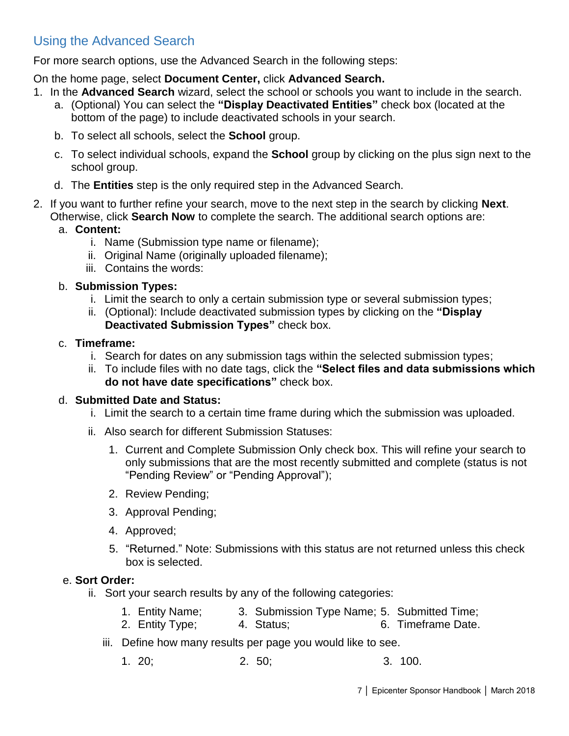#### <span id="page-8-0"></span>Using the Advanced Search

For more search options, use the Advanced Search in the following steps:

On the home page, select **Document Center,** click **Advanced Search.**

- 1. In the **Advanced Search** wizard, select the school or schools you want to include in the search.
	- a. (Optional) You can select the **"Display Deactivated Entities"** check box (located at the bottom of the page) to include deactivated schools in your search.
	- b. To select all schools, select the **School** group.
	- c. To select individual schools, expand the **School** group by clicking on the plus sign next to the school group.
	- d. The **Entities** step is the only required step in the Advanced Search.
- 2. If you want to further refine your search, move to the next step in the search by clicking **Next**. Otherwise, click **Search Now** to complete the search. The additional search options are:

#### a. **Content:**

- i. Name (Submission type name or filename);
- ii. Original Name (originally uploaded filename);
- iii. Contains the words:

#### b. **Submission Types:**

- i. Limit the search to only a certain submission type or several submission types;
- ii. (Optional): Include deactivated submission types by clicking on the **"Display Deactivated Submission Types"** check box.

#### c. **Timeframe:**

- i. Search for dates on any submission tags within the selected submission types;
- ii. To include files with no date tags, click the **"Select files and data submissions which do not have date specifications"** check box.

#### d. **Submitted Date and Status:**

- i. Limit the search to a certain time frame during which the submission was uploaded.
- ii. Also search for different Submission Statuses:
	- 1. Current and Complete Submission Only check box. This will refine your search to only submissions that are the most recently submitted and complete (status is not "Pending Review" or "Pending Approval");
	- 2. Review Pending;
	- 3. Approval Pending;
	- 4. Approved;
	- 5. "Returned." Note: Submissions with this status are not returned unless this check box is selected.

#### e. **Sort Order:**

- ii. Sort your search results by any of the following categories:
	- 1. Entity Name; 3. Submission Type Name; 5. Submitted Time;
	- 2. Entity Type; 4. Status; 6. Timeframe Date.
	- iii. Define how many results per page you would like to see.
		- 1. 20; 2. 50; 3. 100.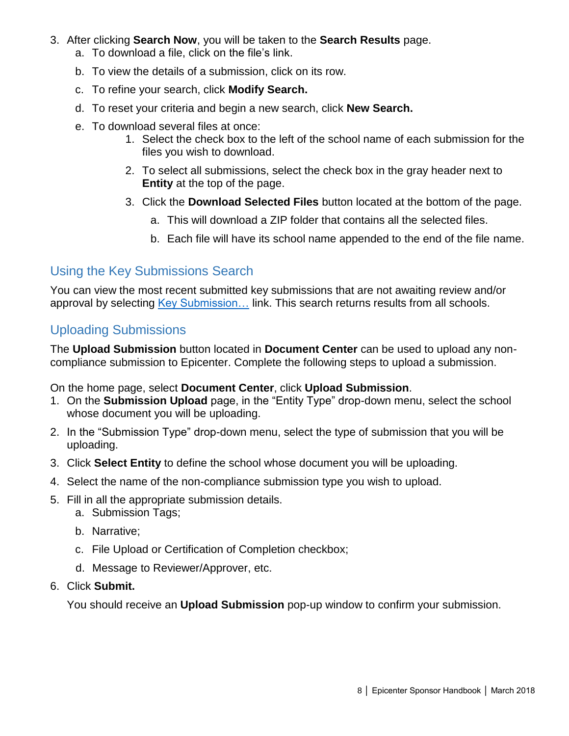- 3. After clicking **Search Now**, you will be taken to the **Search Results** page.
	- a. To download a file, click on the file's link.
	- b. To view the details of a submission, click on its row.
	- c. To refine your search, click **Modify Search.**
	- d. To reset your criteria and begin a new search, click **New Search.**
	- e. To download several files at once:
		- 1. Select the check box to the left of the school name of each submission for the files you wish to download.
		- 2. To select all submissions, select the check box in the gray header next to **Entity** at the top of the page.
		- 3. Click the **Download Selected Files** button located at the bottom of the page.
			- a. This will download a ZIP folder that contains all the selected files.
			- b. Each file will have its school name appended to the end of the file name.

#### <span id="page-9-0"></span>Using the Key Submissions Search

You can view the most recent submitted key submissions that are not awaiting review and/or approval by selecting Key Submission... link. This search returns results from all schools.

#### <span id="page-9-1"></span>Uploading Submissions

The **Upload Submission** button located in **Document Center** can be used to upload any noncompliance submission to Epicenter. Complete the following steps to upload a submission.

On the home page, select **Document Center**, click **Upload Submission**.

- 1. On the **Submission Upload** page, in the "Entity Type" drop-down menu, select the school whose document you will be uploading.
- 2. In the "Submission Type" drop-down menu, select the type of submission that you will be uploading.
- 3. Click **Select Entity** to define the school whose document you will be uploading.
- 4. Select the name of the non-compliance submission type you wish to upload.
- 5. Fill in all the appropriate submission details.
	- a. Submission Tags;
	- b. Narrative;
	- c. File Upload or Certification of Completion checkbox;
	- d. Message to Reviewer/Approver, etc.
- 6. Click **Submit.**

You should receive an **Upload Submission** pop-up window to confirm your submission.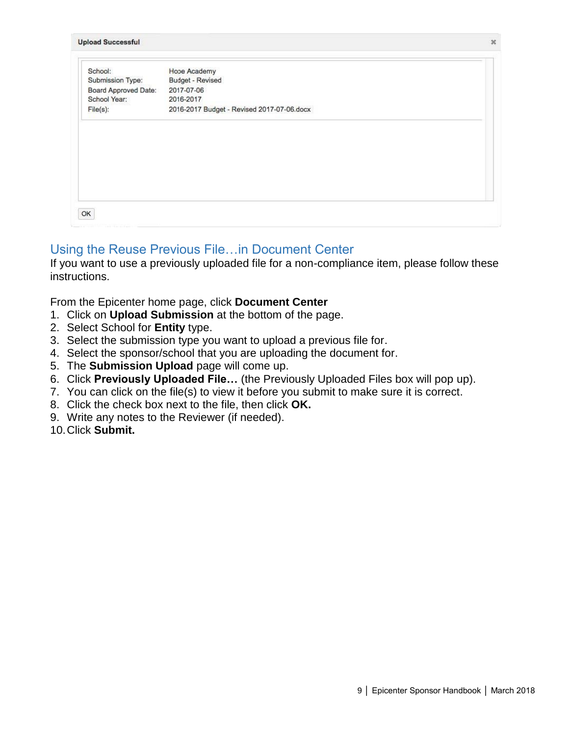| School:              | Hope Academy                               |  |
|----------------------|--------------------------------------------|--|
| Submission Type:     | Budget - Revised                           |  |
| Board Approved Date: | 2017-07-06                                 |  |
| School Year:         | 2016-2017                                  |  |
| File(s):             | 2016-2017 Budget - Revised 2017-07-06.docx |  |
|                      |                                            |  |
|                      |                                            |  |
|                      |                                            |  |
|                      |                                            |  |
|                      |                                            |  |

#### <span id="page-10-0"></span>Using the Reuse Previous File…in Document Center

If you want to use a previously uploaded file for a non-compliance item, please follow these instructions.

From the Epicenter home page, click **Document Center**

- 1. Click on **Upload Submission** at the bottom of the page.
- 2. Select School for **Entity** type.
- 3. Select the submission type you want to upload a previous file for.
- 4. Select the sponsor/school that you are uploading the document for.
- 5. The **Submission Upload** page will come up.
- 6. Click **Previously Uploaded File…** (the Previously Uploaded Files box will pop up).
- 7. You can click on the file(s) to view it before you submit to make sure it is correct.
- 8. Click the check box next to the file, then click **OK.**
- 9. Write any notes to the Reviewer (if needed).
- 10.Click **Submit.**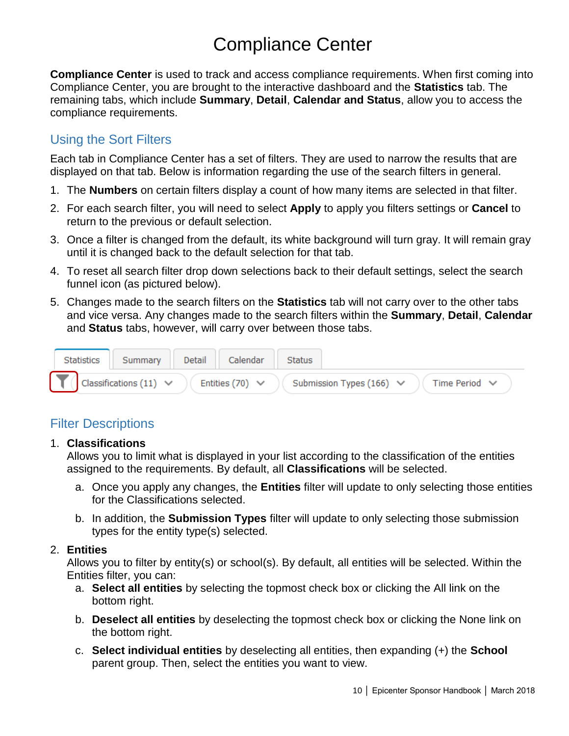### Compliance Center

<span id="page-11-0"></span>**Compliance Center** is used to track and access compliance requirements. When first coming into Compliance Center, you are brought to the interactive dashboard and the **Statistics** tab. The remaining tabs, which include **Summary**, **Detail**, **Calendar and Status**, allow you to access the compliance requirements.

#### <span id="page-11-1"></span>Using the Sort Filters

Each tab in Compliance Center has a set of filters. They are used to narrow the results that are displayed on that tab. Below is information regarding the use of the search filters in general.

- 1. The **Numbers** on certain filters display a count of how many items are selected in that filter.
- 2. For each search filter, you will need to select **Apply** to apply you filters settings or **Cancel** to return to the previous or default selection.
- 3. Once a filter is changed from the default, its white background will turn gray. It will remain gray until it is changed back to the default selection for that tab.
- 4. To reset all search filter drop down selections back to their default settings, select the search funnel icon (as pictured below).
- 5. Changes made to the search filters on the **Statistics** tab will not carry over to the other tabs and vice versa. Any changes made to the search filters within the **Summary**, **Detail**, **Calendar** and **Status** tabs, however, will carry over between those tabs.



#### <span id="page-11-2"></span>Filter Descriptions

#### 1. **Classifications**

Allows you to limit what is displayed in your list according to the classification of the entities assigned to the requirements. By default, all **Classifications** will be selected.

- a. Once you apply any changes, the **Entities** filter will update to only selecting those entities for the Classifications selected.
- b. In addition, the **Submission Types** filter will update to only selecting those submission types for the entity type(s) selected.

#### 2. **Entities**

Allows you to filter by entity(s) or school(s). By default, all entities will be selected. Within the Entities filter, you can:

- a. **Select all entities** by selecting the topmost check box or clicking the All link on the bottom right.
- b. **Deselect all entities** by deselecting the topmost check box or clicking the None link on the bottom right.
- c. **Select individual entities** by deselecting all entities, then expanding (+) the **School** parent group. Then, select the entities you want to view.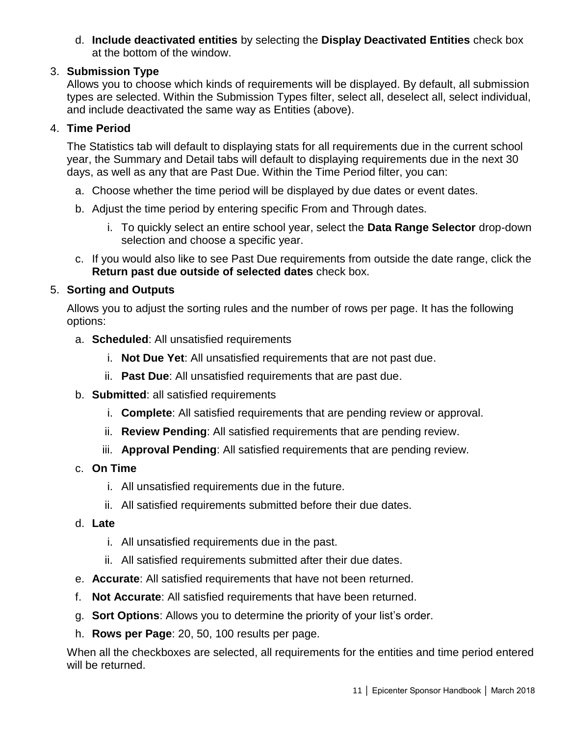d. **Include deactivated entities** by selecting the **Display Deactivated Entities** check box at the bottom of the window.

#### 3. **Submission Type**

Allows you to choose which kinds of requirements will be displayed. By default, all submission types are selected. Within the Submission Types filter, select all, deselect all, select individual, and include deactivated the same way as Entities (above).

#### 4. **Time Period**

The Statistics tab will default to displaying stats for all requirements due in the current school year, the Summary and Detail tabs will default to displaying requirements due in the next 30 days, as well as any that are Past Due. Within the Time Period filter, you can:

- a. Choose whether the time period will be displayed by due dates or event dates.
- b. Adjust the time period by entering specific From and Through dates.
	- i. To quickly select an entire school year, select the **Data Range Selector** drop-down selection and choose a specific year.
- c. If you would also like to see Past Due requirements from outside the date range, click the **Return past due outside of selected dates** check box.

#### 5. **Sorting and Outputs**

Allows you to adjust the sorting rules and the number of rows per page. It has the following options:

- a. **Scheduled**: All unsatisfied requirements
	- i. **Not Due Yet**: All unsatisfied requirements that are not past due.
	- ii. **Past Due**: All unsatisfied requirements that are past due.
- b. **Submitted**: all satisfied requirements
	- i. **Complete**: All satisfied requirements that are pending review or approval.
	- ii. **Review Pending**: All satisfied requirements that are pending review.
	- iii. **Approval Pending**: All satisfied requirements that are pending review.
- c. **On Time**
	- i. All unsatisfied requirements due in the future.
	- ii. All satisfied requirements submitted before their due dates.
- d. **Late**
	- i. All unsatisfied requirements due in the past.
	- ii. All satisfied requirements submitted after their due dates.
- e. **Accurate**: All satisfied requirements that have not been returned.
- f. **Not Accurate**: All satisfied requirements that have been returned.
- g. **Sort Options**: Allows you to determine the priority of your list's order.
- h. **Rows per Page**: 20, 50, 100 results per page.

When all the checkboxes are selected, all requirements for the entities and time period entered will be returned.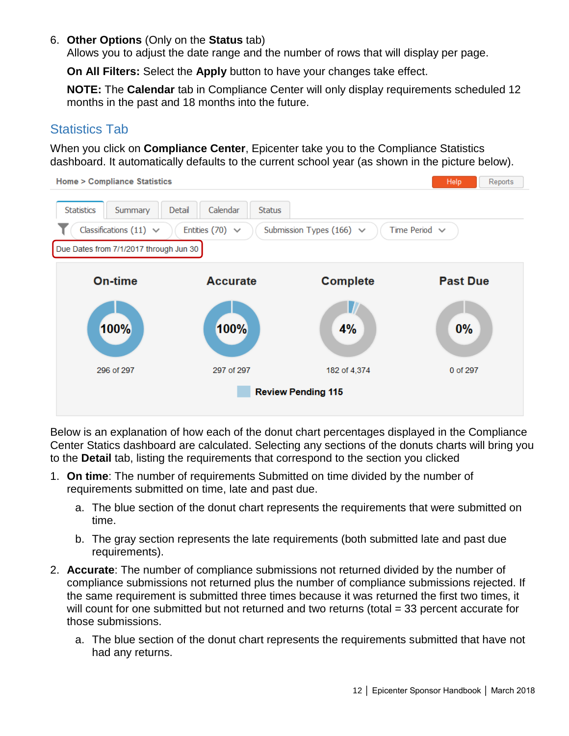#### 6. **Other Options** (Only on the **Status** tab)

Allows you to adjust the date range and the number of rows that will display per page.

**On All Filters:** Select the **Apply** button to have your changes take effect.

**NOTE:** The **Calendar** tab in Compliance Center will only display requirements scheduled 12 months in the past and 18 months into the future.

#### <span id="page-13-0"></span>Statistics Tab

When you click on **Compliance Center**, Epicenter take you to the Compliance Statistics dashboard. It automatically defaults to the current school year (as shown in the picture below).



Below is an explanation of how each of the donut chart percentages displayed in the Compliance Center Statics dashboard are calculated. Selecting any sections of the donuts charts will bring you to the **Detail** tab, listing the requirements that correspond to the section you clicked

- 1. **On time**: The number of requirements Submitted on time divided by the number of requirements submitted on time, late and past due.
	- a. The blue section of the donut chart represents the requirements that were submitted on time.
	- b. The gray section represents the late requirements (both submitted late and past due requirements).
- 2. **Accurate**: The number of compliance submissions not returned divided by the number of compliance submissions not returned plus the number of compliance submissions rejected. If the same requirement is submitted three times because it was returned the first two times, it will count for one submitted but not returned and two returns (total = 33 percent accurate for those submissions.
	- a. The blue section of the donut chart represents the requirements submitted that have not had any returns.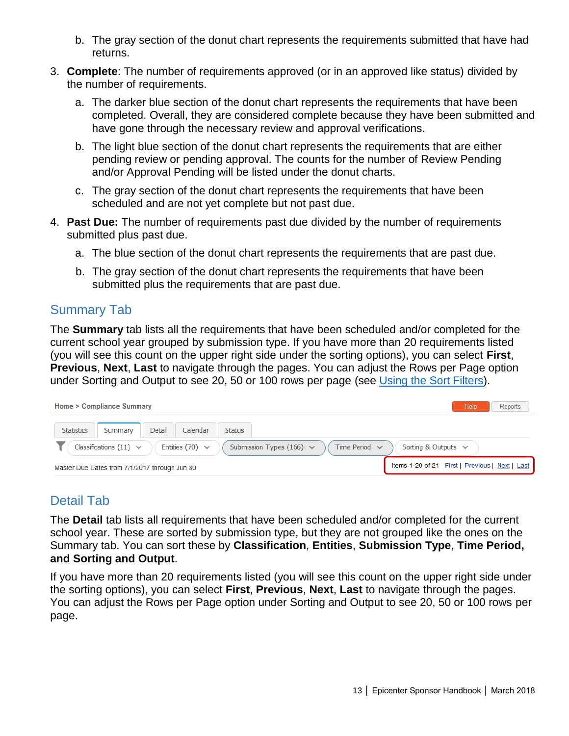- b. The gray section of the donut chart represents the requirements submitted that have had returns.
- 3. **Complete**: The number of requirements approved (or in an approved like status) divided by the number of requirements.
	- a. The darker blue section of the donut chart represents the requirements that have been completed. Overall, they are considered complete because they have been submitted and have gone through the necessary review and approval verifications.
	- b. The light blue section of the donut chart represents the requirements that are either pending review or pending approval. The counts for the number of Review Pending and/or Approval Pending will be listed under the donut charts.
	- c. The gray section of the donut chart represents the requirements that have been scheduled and are not yet complete but not past due.
- 4. **Past Due:** The number of requirements past due divided by the number of requirements submitted plus past due.
	- a. The blue section of the donut chart represents the requirements that are past due.
	- b. The gray section of the donut chart represents the requirements that have been submitted plus the requirements that are past due.

#### <span id="page-14-0"></span>Summary Tab

The **Summary** tab lists all the requirements that have been scheduled and/or completed for the current school year grouped by submission type. If you have more than 20 requirements listed (you will see this count on the upper right side under the sorting options), you can select **First**, **Previous**, **Next**, **Last** to navigate through the pages. You can adjust the Rows per Page option under Sorting and Output to see 20, 50 or 100 rows per page (see [Using the Sort Filters\)](#page-15-0).

| Home > Compliance Summary                                                                                                              | Reports<br>Help                                 |  |  |  |
|----------------------------------------------------------------------------------------------------------------------------------------|-------------------------------------------------|--|--|--|
| <b>Statistics</b><br>Detail<br>Calendar<br><b>Status</b><br>Summary                                                                    |                                                 |  |  |  |
| Classifications $(11) \vee$<br>Entities (70) $\vee$<br>Submission Types (166) $\vee$<br>Time Period $\vee$<br>Sorting & Outputs $\vee$ |                                                 |  |  |  |
| Master Due Dates from 7/1/2017 through Jun 30                                                                                          | Items 1-20 of 21 First   Previous   Next   Last |  |  |  |

#### <span id="page-14-1"></span>Detail Tab

The **Detail** tab lists all requirements that have been scheduled and/or completed for the current school year. These are sorted by submission type, but they are not grouped like the ones on the Summary tab. You can sort these by **Classification**, **Entities**, **Submission Type**, **Time Period, and Sorting and Output**.

<span id="page-14-2"></span>If you have more than 20 requirements listed (you will see this count on the upper right side under the sorting options), you can select **First**, **Previous**, **Next**, **Last** to navigate through the pages. You can adjust the Rows per Page option under Sorting and Output to see 20, 50 or 100 rows per page.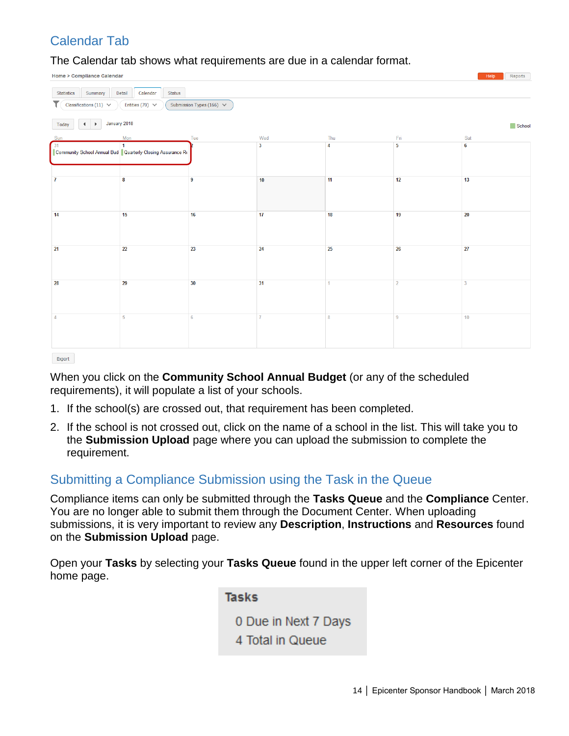#### Calendar Tab

The Calendar tab shows what requirements are due in a calendar format.

Home > Compliance Calendar

| <b>Statistics</b><br>Summary                                                           | Calendar<br><b>Status</b><br>Detail                                        |     |                         |     |                         |                 |  |  |
|----------------------------------------------------------------------------------------|----------------------------------------------------------------------------|-----|-------------------------|-----|-------------------------|-----------------|--|--|
| Submission Types (166) $\vee$<br>Classifications (11) $\vee$<br>Entities $(70)$ $\vee$ |                                                                            |     |                         |     |                         |                 |  |  |
| January 2018<br>$\mathbf{F}$<br>Today<br>School                                        |                                                                            |     |                         |     |                         |                 |  |  |
| Sun                                                                                    | Mon                                                                        | Tue | Wed                     | Thu | Fri                     | Sat             |  |  |
| 31                                                                                     | $\mathbf{1}$<br>Community School Annual Bud Quarterly Closing Assurance Re |     | $\overline{\mathbf{3}}$ | 4   | $\overline{\mathbf{5}}$ | $6\phantom{a}$  |  |  |
| $\mathbf{7}$                                                                           | 8                                                                          | 9   | 10                      | 11  | 12                      | 13              |  |  |
| 14                                                                                     | 15                                                                         | 16  | 17                      | 18  | 19                      | 20              |  |  |
| 21                                                                                     | 22                                                                         | 23  | 24                      | 25  | 26                      | 27              |  |  |
| 28                                                                                     | 29                                                                         | 30  | 31                      | 1   | $\overline{2}$          | 3               |  |  |
|                                                                                        | $\overline{5}$                                                             | 6   | $\overline{7}$          | 8   | 9                       | 10 <sub>1</sub> |  |  |
| Export                                                                                 |                                                                            |     |                         |     |                         |                 |  |  |

When you click on the **Community School Annual Budget** (or any of the scheduled requirements), it will populate a list of your schools.

- 1. If the school(s) are crossed out, that requirement has been completed.
- 2. If the school is not crossed out, click on the name of a school in the list. This will take you to the **Submission Upload** page where you can upload the submission to complete the requirement.

#### <span id="page-15-0"></span>Submitting a Compliance Submission using the Task in the Queue

Compliance items can only be submitted through the **Tasks Queue** and the **Compliance** Center. You are no longer able to submit them through the Document Center. When uploading submissions, it is very important to review any **Description**, **Instructions** and **Resources** found on the **Submission Upload** page.

Open your **Tasks** by selecting your **Tasks Queue** found in the upper left corner of the Epicenter home page.

> **Tasks** 0 Due in Next 7 Days 4 Total in Queue

**Help** Reports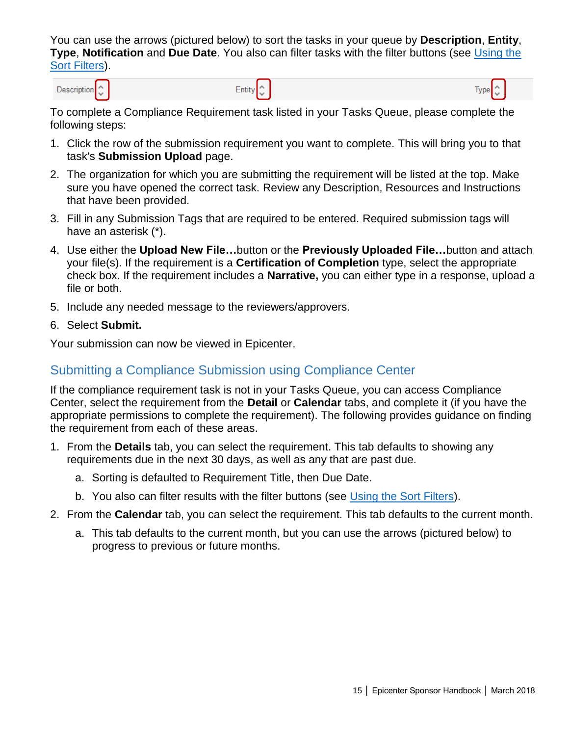You can use the arrows (pictured below) to sort the tasks in your queue by **Description**, **Entity**, **Type**, **Notification** and **Due Date**. You also can filter tasks with the filter buttons (see [Using the](#page-15-0)  [Sort Filters\)](#page-15-0).

Description<sup>1</sup>

To complete a Compliance Requirement task listed in your Tasks Queue, please complete the following steps:

Entity<sup>2</sup>

- 1. Click the row of the submission requirement you want to complete. This will bring you to that task's **Submission Upload** page.
- 2. The organization for which you are submitting the requirement will be listed at the top. Make sure you have opened the correct task. Review any Description, Resources and Instructions that have been provided.
- 3. Fill in any Submission Tags that are required to be entered. Required submission tags will have an asterisk (\*).
- 4. Use either the **Upload New File…**button or the **Previously Uploaded File…**button and attach your file(s). If the requirement is a **Certification of Completion** type, select the appropriate check box. If the requirement includes a **Narrative,** you can either type in a response, upload a file or both.
- 5. Include any needed message to the reviewers/approvers.
- 6. Select **Submit.**

Your submission can now be viewed in Epicenter.

#### <span id="page-16-0"></span>Submitting a Compliance Submission using Compliance Center

If the compliance requirement task is not in your Tasks Queue, you can access Compliance Center, select the requirement from the **Detail** or **Calendar** tabs, and complete it (if you have the appropriate permissions to complete the requirement). The following provides guidance on finding the requirement from each of these areas.

- 1. From the **Details** tab, you can select the requirement. This tab defaults to showing any requirements due in the next 30 days, as well as any that are past due.
	- a. Sorting is defaulted to Requirement Title, then Due Date.
	- b. You also can filter results with the filter buttons (see [Using the Sort Filters\)](#page-15-0).
- 2. From the **Calendar** tab, you can select the requirement. This tab defaults to the current month.
	- a. This tab defaults to the current month, but you can use the arrows (pictured below) to progress to previous or future months.

Type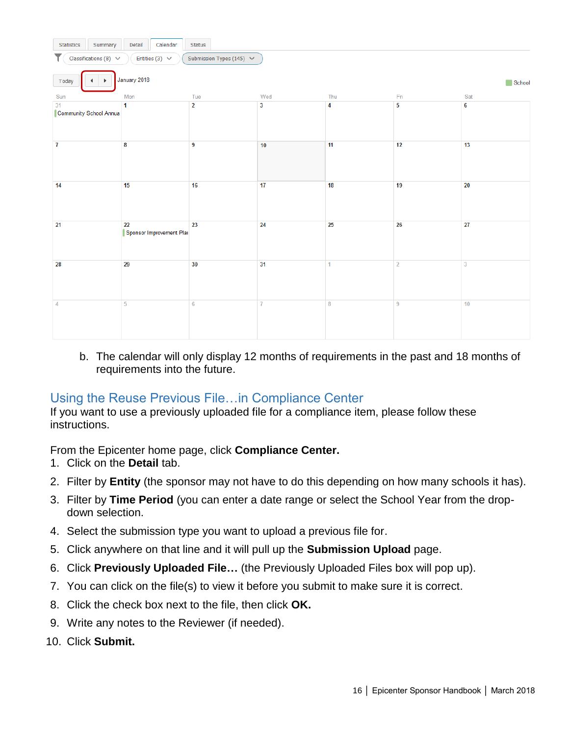| Calendar<br>Summary<br><b>Statistics</b><br>Detail<br><b>Status</b>                |                                |                |                         |                |                |                |  |
|------------------------------------------------------------------------------------|--------------------------------|----------------|-------------------------|----------------|----------------|----------------|--|
| Submission Types (145) $\vee$<br>Classifications (8) $\vee$<br>Entities (3) $\vee$ |                                |                |                         |                |                |                |  |
| January 2018<br>Today<br>School                                                    |                                |                |                         |                |                |                |  |
| Sun                                                                                | Mon                            | Tue            | Wed                     | Thu            | Fri            | Sat            |  |
| 31<br>Community School Annua                                                       | $\mathbf{1}$                   | $\overline{2}$ | $\overline{\mathbf{3}}$ | $\overline{4}$ | $\overline{5}$ | $6\phantom{a}$ |  |
| $\overline{I}$                                                                     | 8                              | $\overline{9}$ | 10                      | 11             | 12             | 13             |  |
| 14                                                                                 | 15                             | 16             | 17                      | 18             | 19             | 20             |  |
| 21                                                                                 | 22<br>Sponsor Improvement Plai | 23             | 24                      | 25             | 26             | 27             |  |
| 28                                                                                 | 29                             | 30             | 31                      | $\mathbf{1}$   | $\overline{2}$ | $\overline{3}$ |  |
| $\overline{4}$                                                                     | 5                              | 6              | $\overline{I}$          | 8              | 9              | 10             |  |

b. The calendar will only display 12 months of requirements in the past and 18 months of requirements into the future.

#### <span id="page-17-0"></span>Using the Reuse Previous File…in Compliance Center

If you want to use a previously uploaded file for a compliance item, please follow these instructions.

From the Epicenter home page, click **Compliance Center.**

- 1. Click on the **Detail** tab.
- 2. Filter by **Entity** (the sponsor may not have to do this depending on how many schools it has).
- 3. Filter by **Time Period** (you can enter a date range or select the School Year from the dropdown selection.
- 4. Select the submission type you want to upload a previous file for.
- 5. Click anywhere on that line and it will pull up the **Submission Upload** page.
- 6. Click **Previously Uploaded File…** (the Previously Uploaded Files box will pop up).
- 7. You can click on the file(s) to view it before you submit to make sure it is correct.
- 8. Click the check box next to the file, then click **OK.**
- 9. Write any notes to the Reviewer (if needed).
- 10. Click **Submit.**